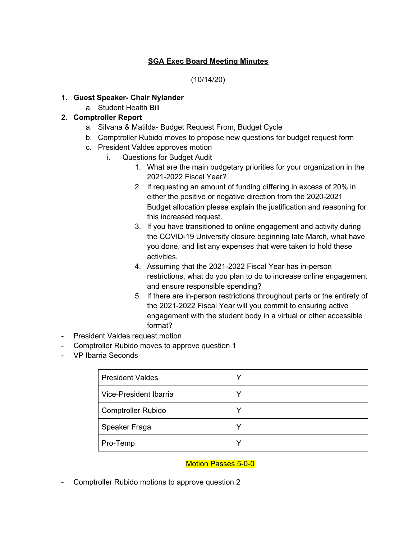# **SGA Exec Board Meeting Minutes**

(10/14/20)

#### **1. Guest Speaker- Chair Nylander**

a. Student Health Bill

# **2. Comptroller Report**

- a. Silvana & Matilda- Budget Request From, Budget Cycle
- b. Comptroller Rubido moves to propose new questions for budget request form
- c. President Valdes approves motion
	- i. Questions for Budget Audit
		- 1. What are the main budgetary priorities for your organization in the 2021-2022 Fiscal Year?
		- 2. If requesting an amount of funding differing in excess of 20% in either the positive or negative direction from the 2020-2021 Budget allocation please explain the justification and reasoning for this increased request.
		- 3. If you have transitioned to online engagement and activity during the COVID-19 University closure beginning late March, what have you done, and list any expenses that were taken to hold these activities.
		- 4. Assuming that the 2021-2022 Fiscal Year has in-person restrictions, what do you plan to do to increase online engagement and ensure responsible spending?
		- 5. If there are in-person restrictions throughout parts or the entirety of the 2021-2022 Fiscal Year will you commit to ensuring active engagement with the student body in a virtual or other accessible format?
- President Valdes request motion
- Comptroller Rubido moves to approve question 1
- VP Ibarria Seconds

| <b>President Valdes</b>   |  |
|---------------------------|--|
| Vice-President Ibarria    |  |
| <b>Comptroller Rubido</b> |  |
| Speaker Fraga             |  |
| Pro-Temp                  |  |

## Motion Passes 5-0-0

- Comptroller Rubido motions to approve question 2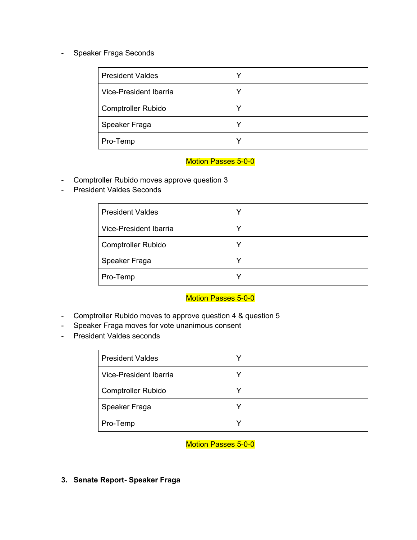#### - Speaker Fraga Seconds

| <b>President Valdes</b>   |  |
|---------------------------|--|
| Vice-President Ibarria    |  |
| <b>Comptroller Rubido</b> |  |
| Speaker Fraga             |  |
| Pro-Temp                  |  |

## Motion Passes 5-0-0

- Comptroller Rubido moves approve question 3
- President Valdes Seconds

| <b>President Valdes</b>   |  |
|---------------------------|--|
| Vice-President Ibarria    |  |
| <b>Comptroller Rubido</b> |  |
| Speaker Fraga             |  |
| Pro-Temp                  |  |

# Motion Passes 5-0-0

- Comptroller Rubido moves to approve question 4 & question 5
- Speaker Fraga moves for vote unanimous consent
- President Valdes seconds

| <b>President Valdes</b>   |  |
|---------------------------|--|
| Vice-President Ibarria    |  |
| <b>Comptroller Rubido</b> |  |
| Speaker Fraga             |  |
| Pro-Temp                  |  |

## Motion Passes 5-0-0

**3. Senate Report- Speaker Fraga**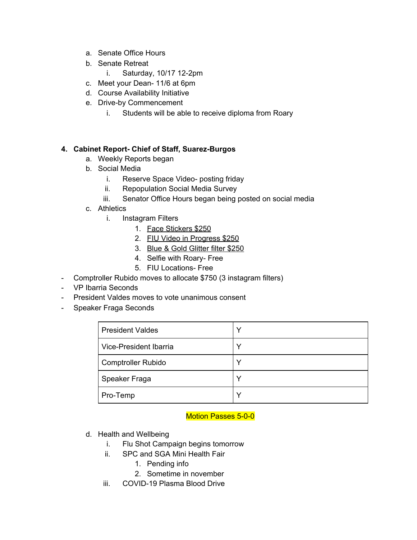- a. Senate Office Hours
- b. Senate Retreat
	- i. Saturday, 10/17 12-2pm
- c. Meet your Dean- 11/6 at 6pm
- d. Course Availability Initiative
- e. Drive-by Commencement
	- i. Students will be able to receive diploma from Roary

## **4. Cabinet Report- Chief of Staff, Suarez-Burgos**

- a. Weekly Reports began
- b. Social Media
	- i. Reserve Space Video- posting friday
	- ii. Repopulation Social Media Survey
	- iii. Senator Office Hours began being posted on social media
- c. Athletics
	- i. Instagram Filters
		- 1. Face Stickers \$250
		- 2. FIU Video in Progress \$250
		- 3. Blue & Gold Glitter filter \$250
		- 4. Selfie with Roary- Free
		- 5. FIU Locations- Free
- Comptroller Rubido moves to allocate \$750 (3 instagram filters)
- VP Ibarria Seconds
- President Valdes moves to vote unanimous consent
- Speaker Fraga Seconds

| <b>President Valdes</b>   | Υ           |
|---------------------------|-------------|
| Vice-President Ibarria    |             |
| <b>Comptroller Rubido</b> |             |
| Speaker Fraga             |             |
| Pro-Temp                  | $\check{ }$ |

## Motion Passes 5-0-0

- d. Health and Wellbeing
	- i. Flu Shot Campaign begins tomorrow
	- ii. SPC and SGA Mini Health Fair
		- 1. Pending info
		- 2. Sometime in november
	- iii. COVID-19 Plasma Blood Drive